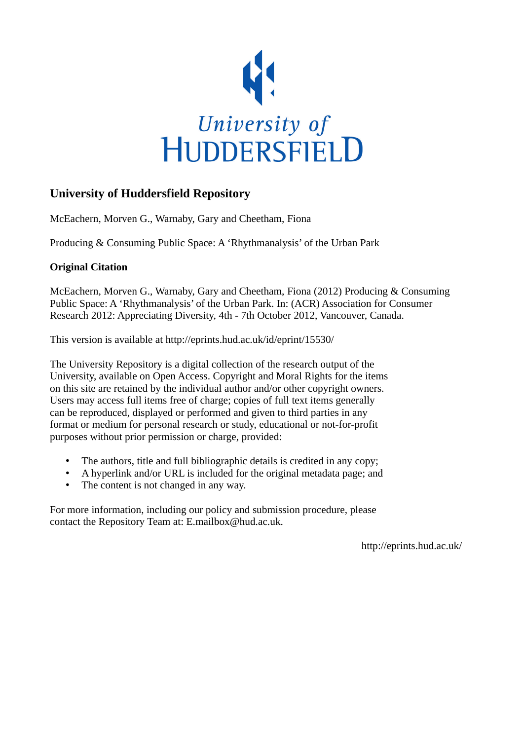

# **University of Huddersfield Repository**

McEachern, Morven G., Warnaby, Gary and Cheetham, Fiona

Producing & Consuming Public Space: A 'Rhythmanalysis' of the Urban Park

## **Original Citation**

McEachern, Morven G., Warnaby, Gary and Cheetham, Fiona (2012) Producing & Consuming Public Space: A 'Rhythmanalysis' of the Urban Park. In: (ACR) Association for Consumer Research 2012: Appreciating Diversity, 4th - 7th October 2012, Vancouver, Canada.

This version is available at http://eprints.hud.ac.uk/id/eprint/15530/

The University Repository is a digital collection of the research output of the University, available on Open Access. Copyright and Moral Rights for the items on this site are retained by the individual author and/or other copyright owners. Users may access full items free of charge; copies of full text items generally can be reproduced, displayed or performed and given to third parties in any format or medium for personal research or study, educational or not-for-profit purposes without prior permission or charge, provided:

- The authors, title and full bibliographic details is credited in any copy;
- A hyperlink and/or URL is included for the original metadata page; and
- The content is not changed in any way.

For more information, including our policy and submission procedure, please contact the Repository Team at: E.mailbox@hud.ac.uk.

http://eprints.hud.ac.uk/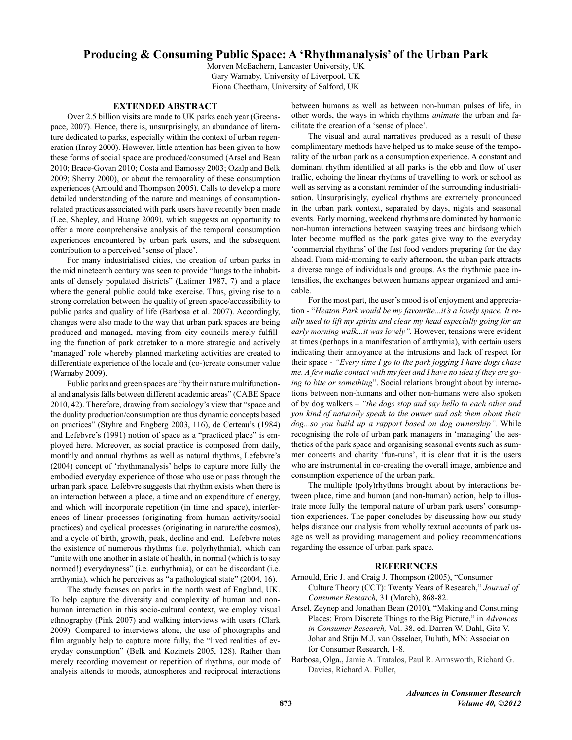### **Producing & Consuming Public Space: A 'Rhythmanalysis' of the Urban Park**

Morven McEachern, Lancaster University, UK Gary Warnaby, University of Liverpool, UK Fiona Cheetham, University of Salford, UK

#### **EXTENDED ABSTRACT**

Over 2.5 billion visits are made to UK parks each year (Greenspace, 2007). Hence, there is, unsurprisingly, an abundance of literature dedicated to parks, especially within the context of urban regeneration (Inroy 2000). However, little attention has been given to how these forms of social space are produced/consumed (Arsel and Bean 2010; Brace-Govan 2010; Costa and Bamossy 2003; Ozalp and Belk 2009; Sherry 2000), or about the temporality of these consumption experiences (Arnould and Thompson 2005). Calls to develop a more detailed understanding of the nature and meanings of consumptionrelated practices associated with park users have recently been made (Lee, Shepley, and Huang 2009), which suggests an opportunity to offer a more comprehensive analysis of the temporal consumption experiences encountered by urban park users, and the subsequent contribution to a perceived 'sense of place'.

For many industrialised cities, the creation of urban parks in the mid nineteenth century was seen to provide "lungs to the inhabitants of densely populated districts" (Latimer 1987, 7) and a place where the general public could take exercise. Thus, giving rise to a strong correlation between the quality of green space/accessibility to public parks and quality of life (Barbosa et al. 2007). Accordingly, changes were also made to the way that urban park spaces are being produced and managed, moving from city councils merely fulfilling the function of park caretaker to a more strategic and actively 'managed' role whereby planned marketing activities are created to differentiate experience of the locale and (co-)create consumer value (Warnaby 2009).

Public parks and green spaces are "by their nature multifunctional and analysis falls between different academic areas" (CABE Space 2010, 42). Therefore, drawing from sociology's view that "space and the duality production/consumption are thus dynamic concepts based on practices" (Styhre and Engberg 2003, 116), de Certeau's (1984) and Lefebvre's (1991) notion of space as a "practiced place" is employed here. Moreover, as social practice is composed from daily, monthly and annual rhythms as well as natural rhythms, Lefebvre's (2004) concept of 'rhythmanalysis' helps to capture more fully the embodied everyday experience of those who use or pass through the urban park space. Lefebvre suggests that rhythm exists when there is an interaction between a place, a time and an expenditure of energy, and which will incorporate repetition (in time and space), interferences of linear processes (originating from human activity/social practices) and cyclical processes (originating in nature/the cosmos), and a cycle of birth, growth, peak, decline and end. Lefebvre notes the existence of numerous rhythms (i.e. polyrhythmia), which can "unite with one another in a state of health, in normal (which is to say normed!) everydayness" (i.e. eurhythmia), or can be discordant (i.e. arrthymia), which he perceives as "a pathological state" (2004, 16).

The study focuses on parks in the north west of England, UK. To help capture the diversity and complexity of human and nonhuman interaction in this socio-cultural context, we employ visual ethnography (Pink 2007) and walking interviews with users (Clark 2009). Compared to interviews alone, the use of photographs and film arguably help to capture more fully, the "lived realities of everyday consumption" (Belk and Kozinets 2005, 128). Rather than merely recording movement or repetition of rhythms, our mode of analysis attends to moods, atmospheres and reciprocal interactions

between humans as well as between non-human pulses of life, in other words, the ways in which rhythms *animate* the urban and facilitate the creation of a 'sense of place'.

The visual and aural narratives produced as a result of these complimentary methods have helped us to make sense of the temporality of the urban park as a consumption experience. A constant and dominant rhythm identified at all parks is the ebb and flow of user traffic, echoing the linear rhythms of travelling to work or school as well as serving as a constant reminder of the surrounding industrialisation. Unsurprisingly, cyclical rhythms are extremely pronounced in the urban park context, separated by days, nights and seasonal events. Early morning, weekend rhythms are dominated by harmonic non-human interactions between swaying trees and birdsong which later become muffled as the park gates give way to the everyday 'commercial rhythms' of the fast food vendors preparing for the day ahead. From mid-morning to early afternoon, the urban park attracts a diverse range of individuals and groups. As the rhythmic pace intensifies, the exchanges between humans appear organized and amicable.

For the most part, the user's mood is of enjoyment and appreciation - "*Heaton Park would be my favourite...it's a lovely space. It really used to lift my spirits and clear my head especially going for an early morning walk...it was lovely".* However, tensions were evident at times (perhaps in a manifestation of arrthymia), with certain users indicating their annoyance at the intrusions and lack of respect for their space - *"Every time I go to the park jogging I have dogs chase me. A few make contact with my feet and I have no idea if they are going to bite or something*". Social relations brought about by interactions between non-humans and other non-humans were also spoken of by dog walkers – *"the dogs stop and say hello to each other and you kind of naturally speak to the owner and ask them about their dog...so you build up a rapport based on dog ownership".* While recognising the role of urban park managers in 'managing' the aesthetics of the park space and organising seasonal events such as summer concerts and charity 'fun-runs', it is clear that it is the users who are instrumental in co-creating the overall image, ambience and consumption experience of the urban park.

The multiple (poly)rhythms brought about by interactions between place, time and human (and non-human) action, help to illustrate more fully the temporal nature of urban park users' consumption experiences. The paper concludes by discussing how our study helps distance our analysis from wholly textual accounts of park usage as well as providing management and policy recommendations regarding the essence of urban park space.

#### **References**

- Arnould, Eric J. and Craig J. Thompson (2005), "Consumer Culture Theory (CCT): Twenty Years of Research," *Journal of Consumer Research,* 31 (March), 868-82.
- Arsel, Zeynep and Jonathan Bean (2010), "Making and Consuming Places: From Discrete Things to the Big Picture," in *Advances in Consumer Research,* Vol. 38, ed. Darren W. Dahl, Gita V. Johar and Stijn M.J. van Osselaer, Duluth, MN: Association for Consumer Research, 1-8.
- Barbosa, Olga., Jamie A. Tratalos, Paul R. Armsworth, Richard G. Davies, Richard A. Fuller,